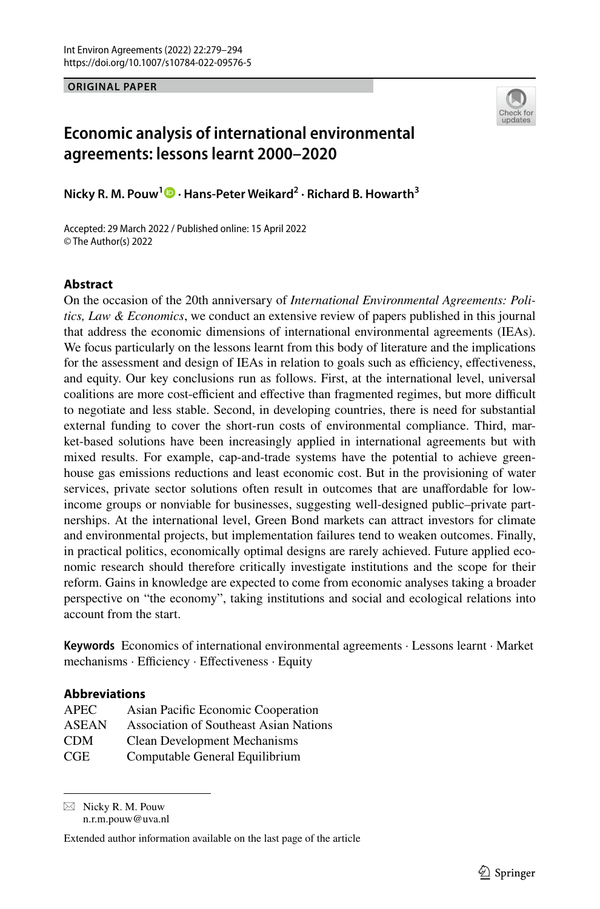**ORIGINAL PAPER**



# **Economic analysis of international environmental agreements: lessons learnt 2000–2020**

**Nicky R. M. Pouw1  [·](http://orcid.org/0000-0002-5406-0282) Hans‑Peter Weikard2 · Richard B. Howarth<sup>3</sup>**

Accepted: 29 March 2022 / Published online: 15 April 2022 © The Author(s) 2022

#### **Abstract**

On the occasion of the 20th anniversary of *International Environmental Agreements: Politics, Law & Economics*, we conduct an extensive review of papers published in this journal that address the economic dimensions of international environmental agreements (IEAs). We focus particularly on the lessons learnt from this body of literature and the implications for the assessment and design of IEAs in relation to goals such as efficiency, effectiveness, and equity. Our key conclusions run as follows. First, at the international level, universal coalitions are more cost-efficient and effective than fragmented regimes, but more difficult to negotiate and less stable. Second, in developing countries, there is need for substantial external funding to cover the short-run costs of environmental compliance. Third, market-based solutions have been increasingly applied in international agreements but with mixed results. For example, cap-and-trade systems have the potential to achieve greenhouse gas emissions reductions and least economic cost. But in the provisioning of water services, private sector solutions often result in outcomes that are unafordable for lowincome groups or nonviable for businesses, suggesting well-designed public–private partnerships. At the international level, Green Bond markets can attract investors for climate and environmental projects, but implementation failures tend to weaken outcomes. Finally, in practical politics, economically optimal designs are rarely achieved. Future applied economic research should therefore critically investigate institutions and the scope for their reform. Gains in knowledge are expected to come from economic analyses taking a broader perspective on "the economy", taking institutions and social and ecological relations into account from the start.

**Keywords** Economics of international environmental agreements · Lessons learnt · Market mechanisms · Efficiency · Effectiveness · Equity

## **Abbreviations**

| <b>APEC</b>  | Asian Pacific Economic Cooperation            |
|--------------|-----------------------------------------------|
| <b>ASEAN</b> | <b>Association of Southeast Asian Nations</b> |
| CDM          | <b>Clean Development Mechanisms</b>           |
| CGE          | Computable General Equilibrium                |

 $\boxtimes$  Nicky R. M. Pouw n.r.m.pouw@uva.nl

Extended author information available on the last page of the article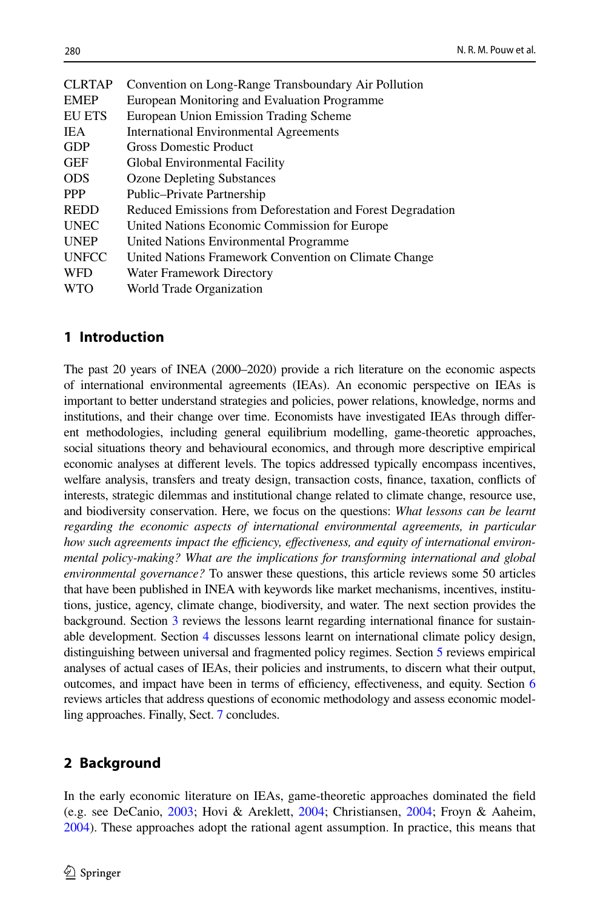| <b>CLRTAP</b> | Convention on Long-Range Transboundary Air Pollution        |
|---------------|-------------------------------------------------------------|
| <b>EMEP</b>   | European Monitoring and Evaluation Programme                |
| <b>EU ETS</b> | European Union Emission Trading Scheme                      |
| <b>IEA</b>    | <b>International Environmental Agreements</b>               |
| <b>GDP</b>    | <b>Gross Domestic Product</b>                               |
| <b>GEF</b>    | Global Environmental Facility                               |
| <b>ODS</b>    | <b>Ozone Depleting Substances</b>                           |
| <b>PPP</b>    | Public-Private Partnership                                  |
| <b>REDD</b>   | Reduced Emissions from Deforestation and Forest Degradation |
| <b>UNEC</b>   | United Nations Economic Commission for Europe               |
| <b>UNEP</b>   | United Nations Environmental Programme                      |
| <b>UNFCC</b>  | United Nations Framework Convention on Climate Change       |
| <b>WFD</b>    | Water Framework Directory                                   |
| <b>WTO</b>    | World Trade Organization                                    |
|               |                                                             |

## **1 Introduction**

The past 20 years of INEA (2000–2020) provide a rich literature on the economic aspects of international environmental agreements (IEAs). An economic perspective on IEAs is important to better understand strategies and policies, power relations, knowledge, norms and institutions, and their change over time. Economists have investigated IEAs through diferent methodologies, including general equilibrium modelling, game-theoretic approaches, social situations theory and behavioural economics, and through more descriptive empirical economic analyses at diferent levels. The topics addressed typically encompass incentives, welfare analysis, transfers and treaty design, transaction costs, fnance, taxation, conficts of interests, strategic dilemmas and institutional change related to climate change, resource use, and biodiversity conservation. Here, we focus on the questions: *What lessons can be learnt regarding the economic aspects of international environmental agreements, in particular* how such agreements impact the efficiency, effectiveness, and equity of international environ*mental policy-making? What are the implications for transforming international and global environmental governance?* To answer these questions, this article reviews some 50 articles that have been published in INEA with keywords like market mechanisms, incentives, institutions, justice, agency, climate change, biodiversity, and water. The next section provides the background. Section [3](#page-2-0) reviews the lessons learnt regarding international fnance for sustainable development. Section [4](#page-4-0) discusses lessons learnt on international climate policy design, distinguishing between universal and fragmented policy regimes. Section [5](#page-6-0) reviews empirical analyses of actual cases of IEAs, their policies and instruments, to discern what their output, outcomes, and impact have been in terms of efficiency, effectiveness, and equity. Section [6](#page-8-0) reviews articles that address questions of economic methodology and assess economic modelling approaches. Finally, Sect. [7](#page-10-0) concludes.

# **2 Background**

In the early economic literature on IEAs, game-theoretic approaches dominated the feld (e.g. see DeCanio, [2003;](#page-12-0) Hovi & Areklett, [2004;](#page-13-0) Christiansen, [2004;](#page-12-1) Froyn & Aaheim, [2004\)](#page-13-1). These approaches adopt the rational agent assumption. In practice, this means that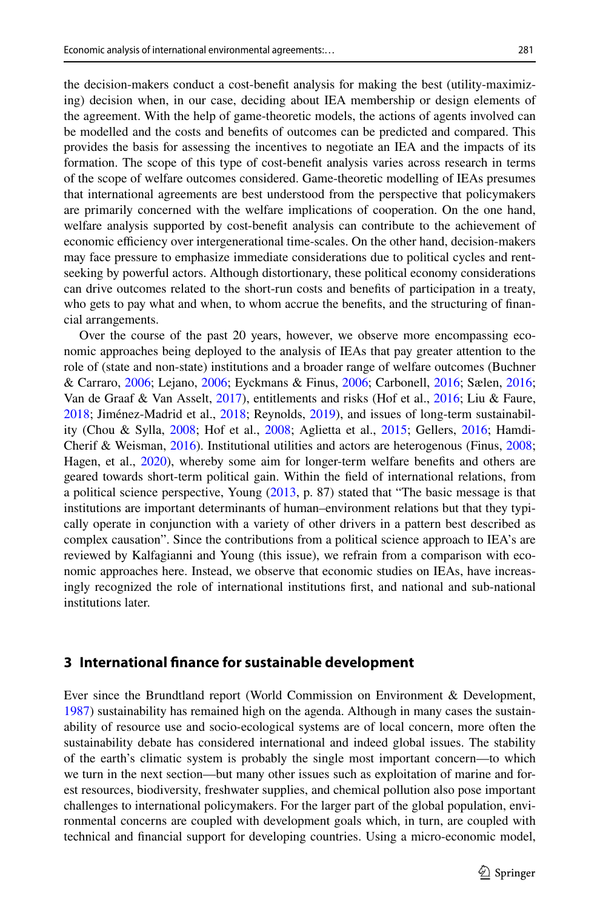the decision-makers conduct a cost-beneft analysis for making the best (utility-maximizing) decision when, in our case, deciding about IEA membership or design elements of the agreement. With the help of game-theoretic models, the actions of agents involved can be modelled and the costs and benefts of outcomes can be predicted and compared. This provides the basis for assessing the incentives to negotiate an IEA and the impacts of its formation. The scope of this type of cost-beneft analysis varies across research in terms of the scope of welfare outcomes considered. Game-theoretic modelling of IEAs presumes that international agreements are best understood from the perspective that policymakers are primarily concerned with the welfare implications of cooperation. On the one hand, welfare analysis supported by cost-beneft analysis can contribute to the achievement of economic efficiency over intergenerational time-scales. On the other hand, decision-makers may face pressure to emphasize immediate considerations due to political cycles and rentseeking by powerful actors. Although distortionary, these political economy considerations can drive outcomes related to the short-run costs and benefts of participation in a treaty, who gets to pay what and when, to whom accrue the benefts, and the structuring of fnancial arrangements.

Over the course of the past 20 years, however, we observe more encompassing economic approaches being deployed to the analysis of IEAs that pay greater attention to the role of (state and non-state) institutions and a broader range of welfare outcomes (Buchner & Carraro, [2006](#page-12-2); Lejano, [2006;](#page-13-2) Eyckmans & Finus, [2006;](#page-13-3) Carbonell, [2016;](#page-12-3) Sælen, [2016;](#page-14-0) Van de Graaf & Van Asselt, [2017](#page-14-1)), entitlements and risks (Hof et al., [2016;](#page-13-4) Liu & Faure, [2018;](#page-14-2) Jiménez-Madrid et al., [2018](#page-13-5); Reynolds, [2019\)](#page-14-3), and issues of long-term sustainability (Chou & Sylla, [2008](#page-12-4); Hof et al., [2008](#page-13-6); Aglietta et al., [2015](#page-12-5); Gellers, [2016](#page-13-7); Hamdi-Cherif & Weisman, [2016\)](#page-13-8). Institutional utilities and actors are heterogenous (Finus, [2008;](#page-13-9) Hagen, et al., [2020](#page-13-10)), whereby some aim for longer-term welfare benefits and others are geared towards short-term political gain. Within the feld of international relations, from a political science perspective, Young [\(2013](#page-15-0), p. 87) stated that "The basic message is that institutions are important determinants of human–environment relations but that they typically operate in conjunction with a variety of other drivers in a pattern best described as complex causation". Since the contributions from a political science approach to IEA's are reviewed by Kalfagianni and Young (this issue), we refrain from a comparison with economic approaches here. Instead, we observe that economic studies on IEAs, have increasingly recognized the role of international institutions frst, and national and sub-national institutions later.

#### <span id="page-2-0"></span>**3 International fnance for sustainable development**

Ever since the Brundtland report (World Commission on Environment & Development, [1987\)](#page-15-1) sustainability has remained high on the agenda. Although in many cases the sustainability of resource use and socio-ecological systems are of local concern, more often the sustainability debate has considered international and indeed global issues. The stability of the earth's climatic system is probably the single most important concern—to which we turn in the next section—but many other issues such as exploitation of marine and forest resources, biodiversity, freshwater supplies, and chemical pollution also pose important challenges to international policymakers. For the larger part of the global population, environmental concerns are coupled with development goals which, in turn, are coupled with technical and fnancial support for developing countries. Using a micro-economic model,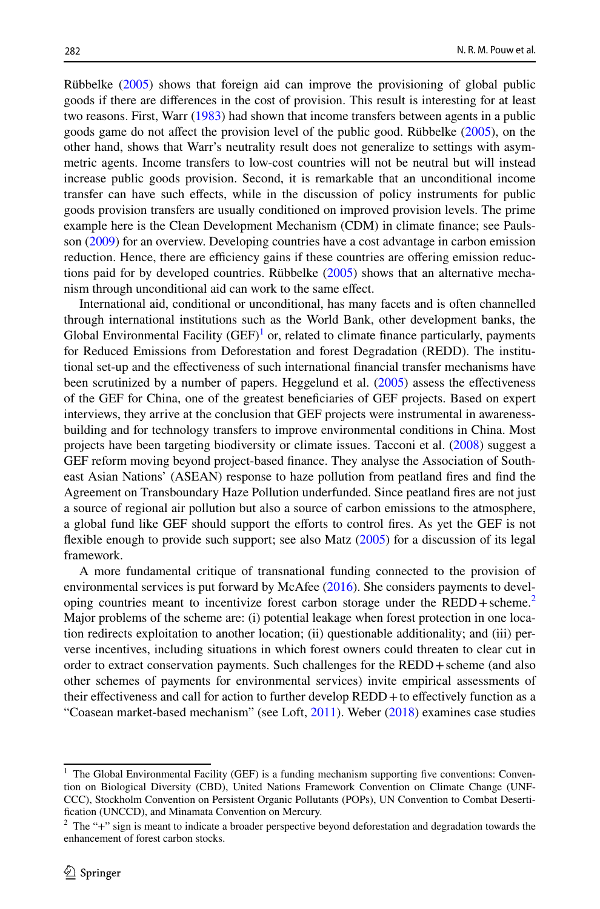Rübbelke [\(2005](#page-14-4)) shows that foreign aid can improve the provisioning of global public goods if there are diferences in the cost of provision. This result is interesting for at least two reasons. First, Warr [\(1983](#page-15-2)) had shown that income transfers between agents in a public goods game do not afect the provision level of the public good. Rübbelke ([2005\)](#page-14-4), on the other hand, shows that Warr's neutrality result does not generalize to settings with asymmetric agents. Income transfers to low-cost countries will not be neutral but will instead increase public goods provision. Second, it is remarkable that an unconditional income transfer can have such efects, while in the discussion of policy instruments for public goods provision transfers are usually conditioned on improved provision levels. The prime example here is the Clean Development Mechanism (CDM) in climate fnance; see Paulsson [\(2009](#page-14-5)) for an overview. Developing countries have a cost advantage in carbon emission reduction. Hence, there are efficiency gains if these countries are offering emission reductions paid for by developed countries. Rübbelke ([2005\)](#page-14-4) shows that an alternative mechanism through unconditional aid can work to the same efect.

International aid, conditional or unconditional, has many facets and is often channelled through international institutions such as the World Bank, other development banks, the Global Environmental Facility  $(GEF)^{1}$  or, related to climate finance particularly, payments for Reduced Emissions from Deforestation and forest Degradation (REDD). The institutional set-up and the efectiveness of such international fnancial transfer mechanisms have been scrutinized by a number of papers. Heggelund et al. [\(2005](#page-13-11)) assess the efectiveness of the GEF for China, one of the greatest benefciaries of GEF projects. Based on expert interviews, they arrive at the conclusion that GEF projects were instrumental in awarenessbuilding and for technology transfers to improve environmental conditions in China. Most projects have been targeting biodiversity or climate issues. Tacconi et al. [\(2008](#page-14-6)) suggest a GEF reform moving beyond project-based fnance. They analyse the Association of Southeast Asian Nations' (ASEAN) response to haze pollution from peatland fres and fnd the Agreement on Transboundary Haze Pollution underfunded. Since peatland fres are not just a source of regional air pollution but also a source of carbon emissions to the atmosphere, a global fund like GEF should support the efforts to control fires. As yet the GEF is not fexible enough to provide such support; see also Matz ([2005\)](#page-14-7) for a discussion of its legal framework.

A more fundamental critique of transnational funding connected to the provision of environmental services is put forward by McAfee ([2016\)](#page-14-8). She considers payments to developing countries meant to incentivize forest carbon storage under the  $REDD + \text{scheme.}^2$ Major problems of the scheme are: (i) potential leakage when forest protection in one location redirects exploitation to another location; (ii) questionable additionality; and (iii) perverse incentives, including situations in which forest owners could threaten to clear cut in order to extract conservation payments. Such challenges for the REDD+scheme (and also other schemes of payments for environmental services) invite empirical assessments of their efectiveness and call for action to further develop REDD+to efectively function as a "Coasean market-based mechanism" (see Loft, [2011\)](#page-14-9). Weber ([2018\)](#page-15-3) examines case studies

<span id="page-3-0"></span><sup>&</sup>lt;sup>1</sup> The Global Environmental Facility (GEF) is a funding mechanism supporting five conventions: Convention on Biological Diversity (CBD), United Nations Framework Convention on Climate Change (UNF-CCC), Stockholm Convention on Persistent Organic Pollutants (POPs), UN Convention to Combat Desertification (UNCCD), and Minamata Convention on Mercury.

<span id="page-3-1"></span><sup>&</sup>lt;sup>2</sup> The "+" sign is meant to indicate a broader perspective beyond deforestation and degradation towards the enhancement of forest carbon stocks.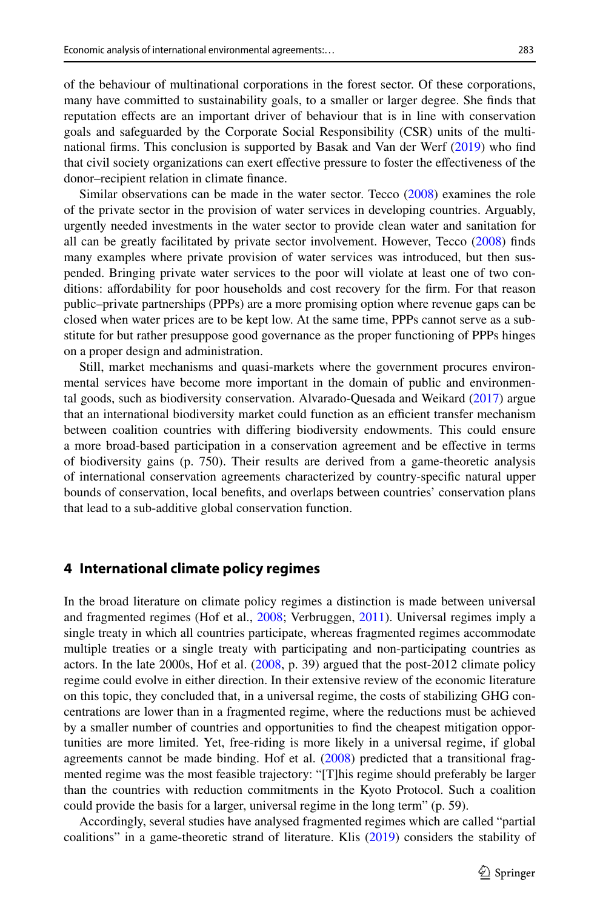of the behaviour of multinational corporations in the forest sector. Of these corporations, many have committed to sustainability goals, to a smaller or larger degree. She fnds that reputation efects are an important driver of behaviour that is in line with conservation goals and safeguarded by the Corporate Social Responsibility (CSR) units of the multinational frms. This conclusion is supported by Basak and Van der Werf [\(2019](#page-12-6)) who fnd that civil society organizations can exert efective pressure to foster the efectiveness of the donor–recipient relation in climate fnance.

Similar observations can be made in the water sector. Tecco ([2008\)](#page-14-10) examines the role of the private sector in the provision of water services in developing countries. Arguably, urgently needed investments in the water sector to provide clean water and sanitation for all can be greatly facilitated by private sector involvement. However, Tecco ([2008\)](#page-14-10) fnds many examples where private provision of water services was introduced, but then suspended. Bringing private water services to the poor will violate at least one of two conditions: afordability for poor households and cost recovery for the frm. For that reason public–private partnerships (PPPs) are a more promising option where revenue gaps can be closed when water prices are to be kept low. At the same time, PPPs cannot serve as a substitute for but rather presuppose good governance as the proper functioning of PPPs hinges on a proper design and administration.

Still, market mechanisms and quasi-markets where the government procures environmental services have become more important in the domain of public and environmental goods, such as biodiversity conservation. Alvarado-Quesada and Weikard ([2017\)](#page-12-7) argue that an international biodiversity market could function as an efficient transfer mechanism between coalition countries with difering biodiversity endowments. This could ensure a more broad-based participation in a conservation agreement and be efective in terms of biodiversity gains (p. 750). Their results are derived from a game-theoretic analysis of international conservation agreements characterized by country-specifc natural upper bounds of conservation, local benefts, and overlaps between countries' conservation plans that lead to a sub-additive global conservation function.

#### <span id="page-4-0"></span>**4 International climate policy regimes**

In the broad literature on climate policy regimes a distinction is made between universal and fragmented regimes (Hof et al., [2008](#page-13-6); Verbruggen, [2011](#page-14-11)). Universal regimes imply a single treaty in which all countries participate, whereas fragmented regimes accommodate multiple treaties or a single treaty with participating and non-participating countries as actors. In the late 2000s, Hof et al. [\(2008](#page-13-6), p. 39) argued that the post-2012 climate policy regime could evolve in either direction. In their extensive review of the economic literature on this topic, they concluded that, in a universal regime, the costs of stabilizing GHG concentrations are lower than in a fragmented regime, where the reductions must be achieved by a smaller number of countries and opportunities to fnd the cheapest mitigation opportunities are more limited. Yet, free-riding is more likely in a universal regime, if global agreements cannot be made binding. Hof et al. [\(2008](#page-13-6)) predicted that a transitional fragmented regime was the most feasible trajectory: "[T]his regime should preferably be larger than the countries with reduction commitments in the Kyoto Protocol. Such a coalition could provide the basis for a larger, universal regime in the long term" (p. 59).

Accordingly, several studies have analysed fragmented regimes which are called "partial coalitions" in a game-theoretic strand of literature. Klis ([2019\)](#page-13-12) considers the stability of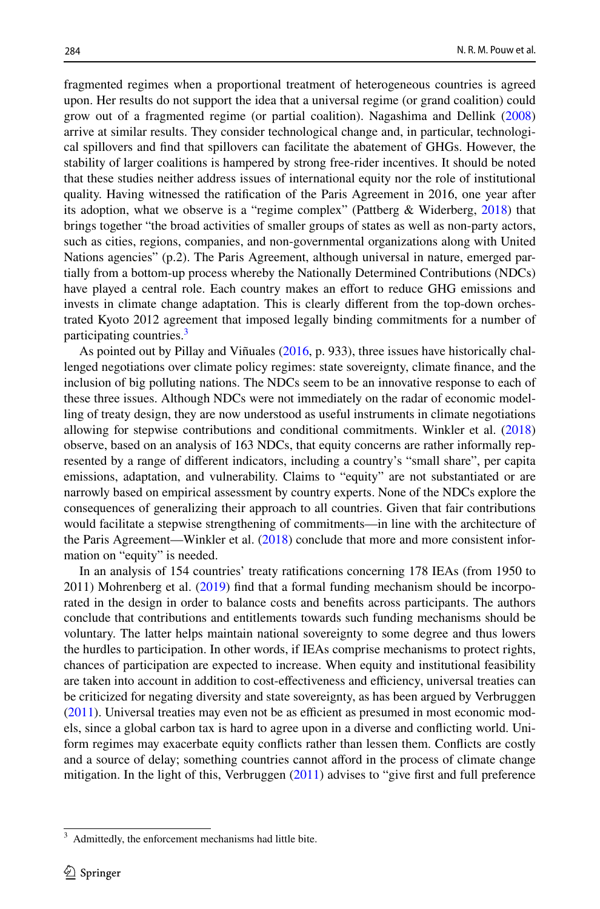fragmented regimes when a proportional treatment of heterogeneous countries is agreed upon. Her results do not support the idea that a universal regime (or grand coalition) could grow out of a fragmented regime (or partial coalition). Nagashima and Dellink [\(2008](#page-14-12)) arrive at similar results. They consider technological change and, in particular, technological spillovers and fnd that spillovers can facilitate the abatement of GHGs. However, the stability of larger coalitions is hampered by strong free-rider incentives. It should be noted that these studies neither address issues of international equity nor the role of institutional quality. Having witnessed the ratifcation of the Paris Agreement in 2016, one year after its adoption, what we observe is a "regime complex" (Pattberg & Widerberg, [2018\)](#page-14-13) that brings together "the broad activities of smaller groups of states as well as non-party actors, such as cities, regions, companies, and non-governmental organizations along with United Nations agencies" (p.2). The Paris Agreement, although universal in nature, emerged partially from a bottom-up process whereby the Nationally Determined Contributions (NDCs) have played a central role. Each country makes an efort to reduce GHG emissions and invests in climate change adaptation. This is clearly diferent from the top-down orchestrated Kyoto 2012 agreement that imposed legally binding commitments for a number of participating countries.<sup>[3](#page-5-0)</sup>

As pointed out by Pillay and Viñuales [\(2016](#page-14-14), p. 933), three issues have historically challenged negotiations over climate policy regimes: state sovereignty, climate fnance, and the inclusion of big polluting nations. The NDCs seem to be an innovative response to each of these three issues. Although NDCs were not immediately on the radar of economic modelling of treaty design, they are now understood as useful instruments in climate negotiations allowing for stepwise contributions and conditional commitments. Winkler et al. [\(2018](#page-15-4)) observe, based on an analysis of 163 NDCs, that equity concerns are rather informally represented by a range of diferent indicators, including a country's "small share", per capita emissions, adaptation, and vulnerability. Claims to "equity" are not substantiated or are narrowly based on empirical assessment by country experts. None of the NDCs explore the consequences of generalizing their approach to all countries. Given that fair contributions would facilitate a stepwise strengthening of commitments—in line with the architecture of the Paris Agreement—Winkler et al. [\(2018](#page-15-4)) conclude that more and more consistent information on "equity" is needed.

In an analysis of 154 countries' treaty ratifcations concerning 178 IEAs (from 1950 to 2011) Mohrenberg et al. [\(2019](#page-14-15)) fnd that a formal funding mechanism should be incorporated in the design in order to balance costs and benefts across participants. The authors conclude that contributions and entitlements towards such funding mechanisms should be voluntary. The latter helps maintain national sovereignty to some degree and thus lowers the hurdles to participation. In other words, if IEAs comprise mechanisms to protect rights, chances of participation are expected to increase. When equity and institutional feasibility are taken into account in addition to cost-effectiveness and efficiency, universal treaties can be criticized for negating diversity and state sovereignty, as has been argued by Verbruggen  $(2011)$  $(2011)$ . Universal treaties may even not be as efficient as presumed in most economic models, since a global carbon tax is hard to agree upon in a diverse and conficting world. Uniform regimes may exacerbate equity conficts rather than lessen them. Conficts are costly and a source of delay; something countries cannot aford in the process of climate change mitigation. In the light of this, Verbruggen [\(2011](#page-14-11)) advises to "give first and full preference

<span id="page-5-0"></span>Admittedly, the enforcement mechanisms had little bite.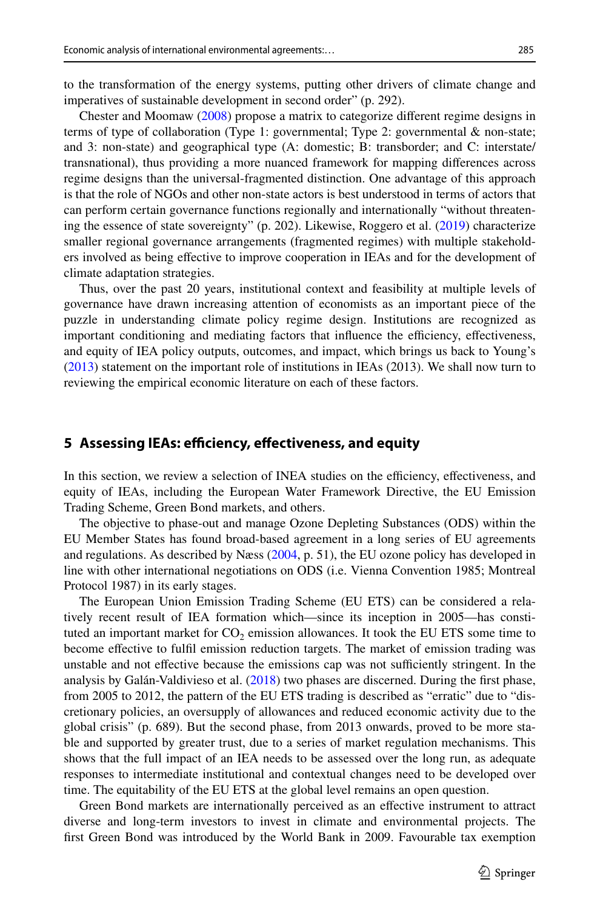to the transformation of the energy systems, putting other drivers of climate change and imperatives of sustainable development in second order" (p. 292).

Chester and Moomaw ([2008\)](#page-12-8) propose a matrix to categorize diferent regime designs in terms of type of collaboration (Type 1: governmental; Type 2: governmental  $\&$  non-state; and 3: non-state) and geographical type (A: domestic; B: transborder; and C: interstate/ transnational), thus providing a more nuanced framework for mapping diferences across regime designs than the universal-fragmented distinction. One advantage of this approach is that the role of NGOs and other non-state actors is best understood in terms of actors that can perform certain governance functions regionally and internationally "without threatening the essence of state sovereignty" (p. 202). Likewise, Roggero et al. [\(2019](#page-14-16)) characterize smaller regional governance arrangements (fragmented regimes) with multiple stakeholders involved as being efective to improve cooperation in IEAs and for the development of climate adaptation strategies.

Thus, over the past 20 years, institutional context and feasibility at multiple levels of governance have drawn increasing attention of economists as an important piece of the puzzle in understanding climate policy regime design. Institutions are recognized as important conditioning and mediating factors that influence the efficiency, effectiveness, and equity of IEA policy outputs, outcomes, and impact, which brings us back to Young's ([2013\)](#page-15-0) statement on the important role of institutions in IEAs (2013). We shall now turn to reviewing the empirical economic literature on each of these factors.

#### <span id="page-6-0"></span>**5 Assessing IEAs: efficiency, effectiveness, and equity**

In this section, we review a selection of INEA studies on the efficiency, effectiveness, and equity of IEAs, including the European Water Framework Directive, the EU Emission Trading Scheme, Green Bond markets, and others.

The objective to phase-out and manage Ozone Depleting Substances (ODS) within the EU Member States has found broad-based agreement in a long series of EU agreements and regulations. As described by Næss ([2004,](#page-14-17) p. 51), the EU ozone policy has developed in line with other international negotiations on ODS (i.e. Vienna Convention 1985; Montreal Protocol 1987) in its early stages.

The European Union Emission Trading Scheme (EU ETS) can be considered a relatively recent result of IEA formation which—since its inception in 2005—has constituted an important market for  $CO<sub>2</sub>$  emission allowances. It took the EU ETS some time to become efective to fulfl emission reduction targets. The market of emission trading was unstable and not effective because the emissions cap was not sufficiently stringent. In the analysis by Galán-Valdivieso et al.  $(2018)$  $(2018)$  two phases are discerned. During the first phase, from 2005 to 2012, the pattern of the EU ETS trading is described as "erratic" due to "discretionary policies, an oversupply of allowances and reduced economic activity due to the global crisis" (p. 689). But the second phase, from 2013 onwards, proved to be more stable and supported by greater trust, due to a series of market regulation mechanisms. This shows that the full impact of an IEA needs to be assessed over the long run, as adequate responses to intermediate institutional and contextual changes need to be developed over time. The equitability of the EU ETS at the global level remains an open question.

Green Bond markets are internationally perceived as an efective instrument to attract diverse and long-term investors to invest in climate and environmental projects. The frst Green Bond was introduced by the World Bank in 2009. Favourable tax exemption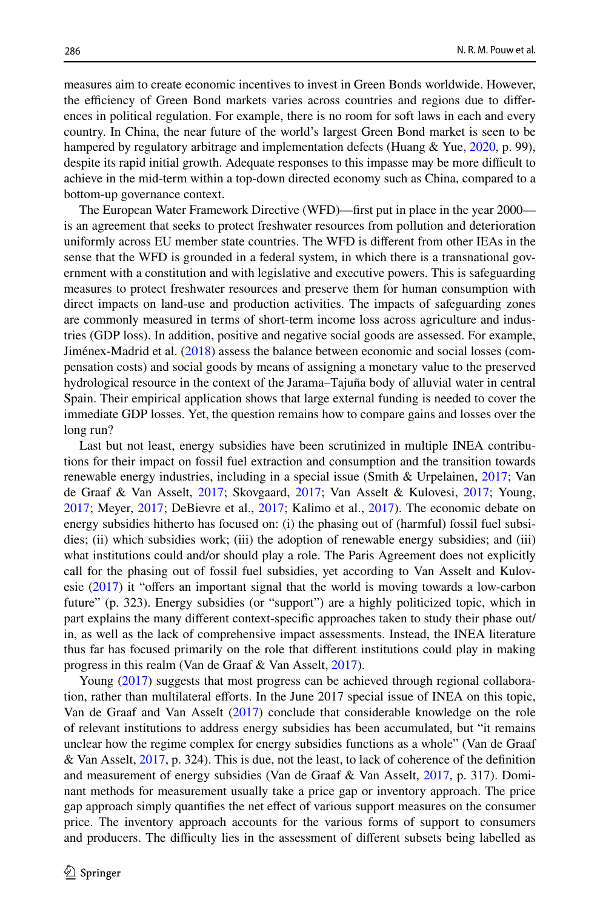measures aim to create economic incentives to invest in Green Bonds worldwide. However, the efficiency of Green Bond markets varies across countries and regions due to differences in political regulation. For example, there is no room for soft laws in each and every country. In China, the near future of the world's largest Green Bond market is seen to be hampered by regulatory arbitrage and implementation defects (Huang & Yue, [2020](#page-13-14), p. 99), despite its rapid initial growth. Adequate responses to this impasse may be more difficult to achieve in the mid-term within a top-down directed economy such as China, compared to a bottom-up governance context.

The European Water Framework Directive (WFD)—frst put in place in the year 2000 is an agreement that seeks to protect freshwater resources from pollution and deterioration uniformly across EU member state countries. The WFD is diferent from other IEAs in the sense that the WFD is grounded in a federal system, in which there is a transnational government with a constitution and with legislative and executive powers. This is safeguarding measures to protect freshwater resources and preserve them for human consumption with direct impacts on land-use and production activities. The impacts of safeguarding zones are commonly measured in terms of short-term income loss across agriculture and industries (GDP loss). In addition, positive and negative social goods are assessed. For example, Jiménex-Madrid et al. ([2018\)](#page-13-5) assess the balance between economic and social losses (compensation costs) and social goods by means of assigning a monetary value to the preserved hydrological resource in the context of the Jarama–Tajuña body of alluvial water in central Spain. Their empirical application shows that large external funding is needed to cover the immediate GDP losses. Yet, the question remains how to compare gains and losses over the long run?

Last but not least, energy subsidies have been scrutinized in multiple INEA contributions for their impact on fossil fuel extraction and consumption and the transition towards renewable energy industries, including in a special issue (Smith & Urpelainen, [2017](#page-14-18); Van de Graaf & Van Asselt, [2017](#page-14-1); Skovgaard, [2017](#page-14-19); Van Asselt & Kulovesi, [2017;](#page-14-20) Young, [2017;](#page-15-5) Meyer, [2017;](#page-14-21) DeBievre et al., [2017](#page-12-9); Kalimo et al., [2017\)](#page-13-15). The economic debate on energy subsidies hitherto has focused on: (i) the phasing out of (harmful) fossil fuel subsidies; (ii) which subsidies work; (iii) the adoption of renewable energy subsidies; and (iii) what institutions could and/or should play a role. The Paris Agreement does not explicitly call for the phasing out of fossil fuel subsidies, yet according to Van Asselt and Kulov-esie [\(2017](#page-14-20)) it "offers an important signal that the world is moving towards a low-carbon future" (p. 323). Energy subsidies (or "support") are a highly politicized topic, which in part explains the many diferent context-specifc approaches taken to study their phase out/ in, as well as the lack of comprehensive impact assessments. Instead, the INEA literature thus far has focused primarily on the role that diferent institutions could play in making progress in this realm (Van de Graaf & Van Asselt, [2017\)](#page-14-1).

Young [\(2017](#page-15-5)) suggests that most progress can be achieved through regional collaboration, rather than multilateral eforts. In the June 2017 special issue of INEA on this topic, Van de Graaf and Van Asselt ([2017\)](#page-14-1) conclude that considerable knowledge on the role of relevant institutions to address energy subsidies has been accumulated, but "it remains unclear how the regime complex for energy subsidies functions as a whole" (Van de Graaf & Van Asselt,  $2017$ , p. 324). This is due, not the least, to lack of coherence of the definition and measurement of energy subsidies (Van de Graaf & Van Asselt, [2017](#page-14-1), p. 317). Dominant methods for measurement usually take a price gap or inventory approach. The price gap approach simply quantifes the net efect of various support measures on the consumer price. The inventory approach accounts for the various forms of support to consumers and producers. The difficulty lies in the assessment of different subsets being labelled as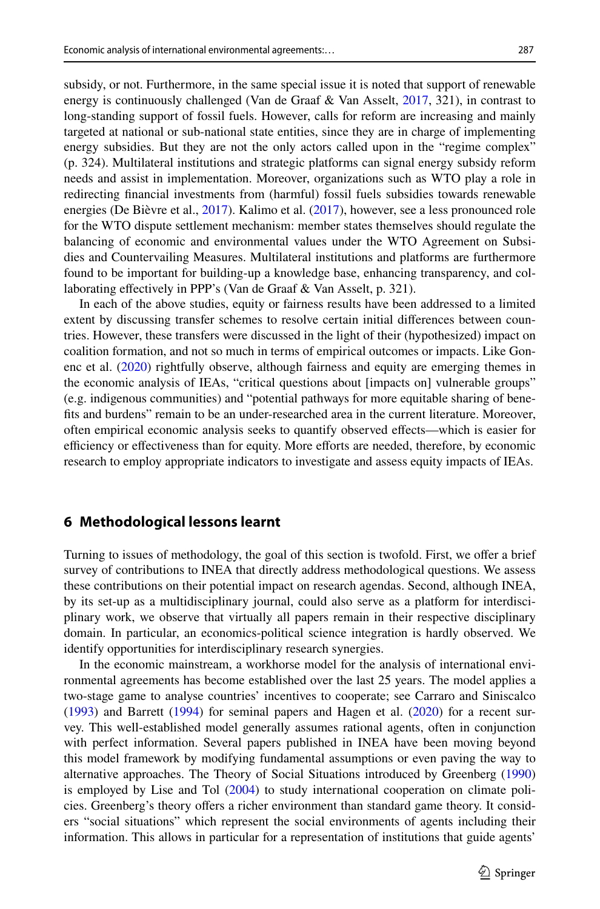subsidy, or not. Furthermore, in the same special issue it is noted that support of renewable energy is continuously challenged (Van de Graaf & Van Asselt, [2017](#page-14-1), 321), in contrast to long-standing support of fossil fuels. However, calls for reform are increasing and mainly targeted at national or sub-national state entities, since they are in charge of implementing energy subsidies. But they are not the only actors called upon in the "regime complex" (p. 324). Multilateral institutions and strategic platforms can signal energy subsidy reform needs and assist in implementation. Moreover, organizations such as WTO play a role in redirecting fnancial investments from (harmful) fossil fuels subsidies towards renewable energies (De Bièvre et al., [2017](#page-12-9)). Kalimo et al. ([2017\)](#page-13-15), however, see a less pronounced role for the WTO dispute settlement mechanism: member states themselves should regulate the balancing of economic and environmental values under the WTO Agreement on Subsidies and Countervailing Measures. Multilateral institutions and platforms are furthermore found to be important for building-up a knowledge base, enhancing transparency, and collaborating effectively in PPP's (Van de Graaf & Van Asselt, p. 321).

In each of the above studies, equity or fairness results have been addressed to a limited extent by discussing transfer schemes to resolve certain initial diferences between countries. However, these transfers were discussed in the light of their (hypothesized) impact on coalition formation, and not so much in terms of empirical outcomes or impacts. Like Gonenc et al. ([2020\)](#page-13-16) rightfully observe, although fairness and equity are emerging themes in the economic analysis of IEAs, "critical questions about [impacts on] vulnerable groups" (e.g. indigenous communities) and "potential pathways for more equitable sharing of benefts and burdens" remain to be an under-researched area in the current literature. Moreover, often empirical economic analysis seeks to quantify observed efects—which is easier for efficiency or effectiveness than for equity. More efforts are needed, therefore, by economic research to employ appropriate indicators to investigate and assess equity impacts of IEAs.

#### <span id="page-8-0"></span>**6 Methodological lessons learnt**

Turning to issues of methodology, the goal of this section is twofold. First, we ofer a brief survey of contributions to INEA that directly address methodological questions. We assess these contributions on their potential impact on research agendas. Second, although INEA, by its set-up as a multidisciplinary journal, could also serve as a platform for interdisciplinary work, we observe that virtually all papers remain in their respective disciplinary domain. In particular, an economics-political science integration is hardly observed. We identify opportunities for interdisciplinary research synergies.

In the economic mainstream, a workhorse model for the analysis of international environmental agreements has become established over the last 25 years. The model applies a two-stage game to analyse countries' incentives to cooperate; see Carraro and Siniscalco ([1993\)](#page-12-10) and Barrett ([1994\)](#page-12-11) for seminal papers and Hagen et al. [\(2020](#page-13-10)) for a recent survey. This well-established model generally assumes rational agents, often in conjunction with perfect information. Several papers published in INEA have been moving beyond this model framework by modifying fundamental assumptions or even paving the way to alternative approaches. The Theory of Social Situations introduced by Greenberg [\(1990](#page-13-17)) is employed by Lise and Tol ([2004\)](#page-13-18) to study international cooperation on climate policies. Greenberg's theory ofers a richer environment than standard game theory. It considers "social situations" which represent the social environments of agents including their information. This allows in particular for a representation of institutions that guide agents'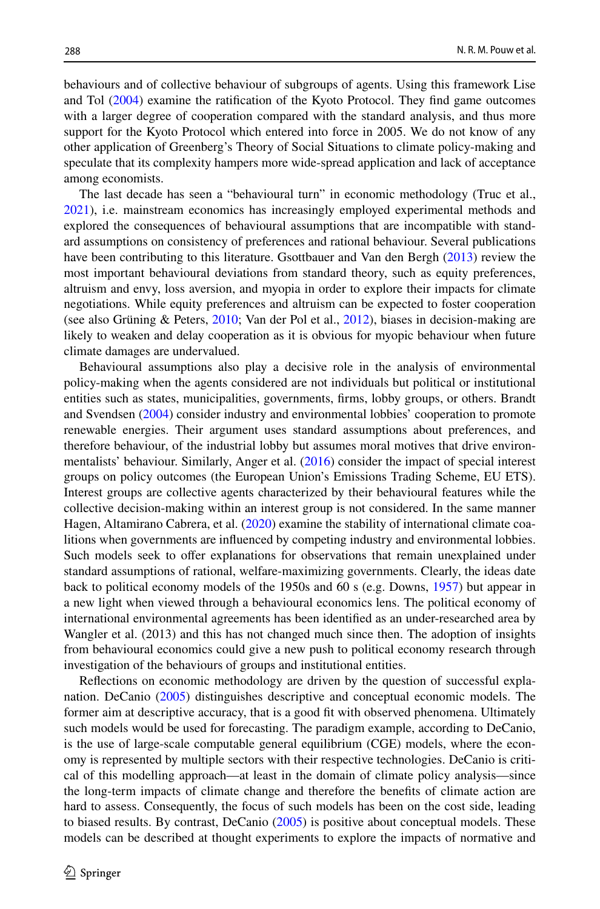behaviours and of collective behaviour of subgroups of agents. Using this framework Lise and Tol ([2004\)](#page-13-18) examine the ratifcation of the Kyoto Protocol. They fnd game outcomes with a larger degree of cooperation compared with the standard analysis, and thus more support for the Kyoto Protocol which entered into force in 2005. We do not know of any other application of Greenberg's Theory of Social Situations to climate policy-making and speculate that its complexity hampers more wide-spread application and lack of acceptance among economists.

The last decade has seen a "behavioural turn" in economic methodology (Truc et al., [2021\)](#page-14-22), i.e. mainstream economics has increasingly employed experimental methods and explored the consequences of behavioural assumptions that are incompatible with standard assumptions on consistency of preferences and rational behaviour. Several publications have been contributing to this literature. Gsottbauer and Van den Bergh ([2013\)](#page-13-19) review the most important behavioural deviations from standard theory, such as equity preferences, altruism and envy, loss aversion, and myopia in order to explore their impacts for climate negotiations. While equity preferences and altruism can be expected to foster cooperation (see also Grüning & Peters, [2010](#page-13-20); Van der Pol et al., [2012\)](#page-14-23), biases in decision-making are likely to weaken and delay cooperation as it is obvious for myopic behaviour when future climate damages are undervalued.

Behavioural assumptions also play a decisive role in the analysis of environmental policy-making when the agents considered are not individuals but political or institutional entities such as states, municipalities, governments, frms, lobby groups, or others. Brandt and Svendsen ([2004\)](#page-12-12) consider industry and environmental lobbies' cooperation to promote renewable energies. Their argument uses standard assumptions about preferences, and therefore behaviour, of the industrial lobby but assumes moral motives that drive environ-mentalists' behaviour. Similarly, Anger et al. [\(2016](#page-12-13)) consider the impact of special interest groups on policy outcomes (the European Union's Emissions Trading Scheme, EU ETS). Interest groups are collective agents characterized by their behavioural features while the collective decision-making within an interest group is not considered. In the same manner Hagen, Altamirano Cabrera, et al. ([2020\)](#page-13-21) examine the stability of international climate coalitions when governments are infuenced by competing industry and environmental lobbies. Such models seek to offer explanations for observations that remain unexplained under standard assumptions of rational, welfare-maximizing governments. Clearly, the ideas date back to political economy models of the 1950s and 60 s (e.g. Downs, [1957](#page-13-22)) but appear in a new light when viewed through a behavioural economics lens. The political economy of international environmental agreements has been identifed as an under-researched area by Wangler et al. (2013) and this has not changed much since then. The adoption of insights from behavioural economics could give a new push to political economy research through investigation of the behaviours of groups and institutional entities.

Refections on economic methodology are driven by the question of successful explanation. DeCanio [\(2005](#page-12-14)) distinguishes descriptive and conceptual economic models. The former aim at descriptive accuracy, that is a good ft with observed phenomena. Ultimately such models would be used for forecasting. The paradigm example, according to DeCanio, is the use of large-scale computable general equilibrium (CGE) models, where the economy is represented by multiple sectors with their respective technologies. DeCanio is critical of this modelling approach—at least in the domain of climate policy analysis—since the long-term impacts of climate change and therefore the benefts of climate action are hard to assess. Consequently, the focus of such models has been on the cost side, leading to biased results. By contrast, DeCanio ([2005\)](#page-12-14) is positive about conceptual models. These models can be described at thought experiments to explore the impacts of normative and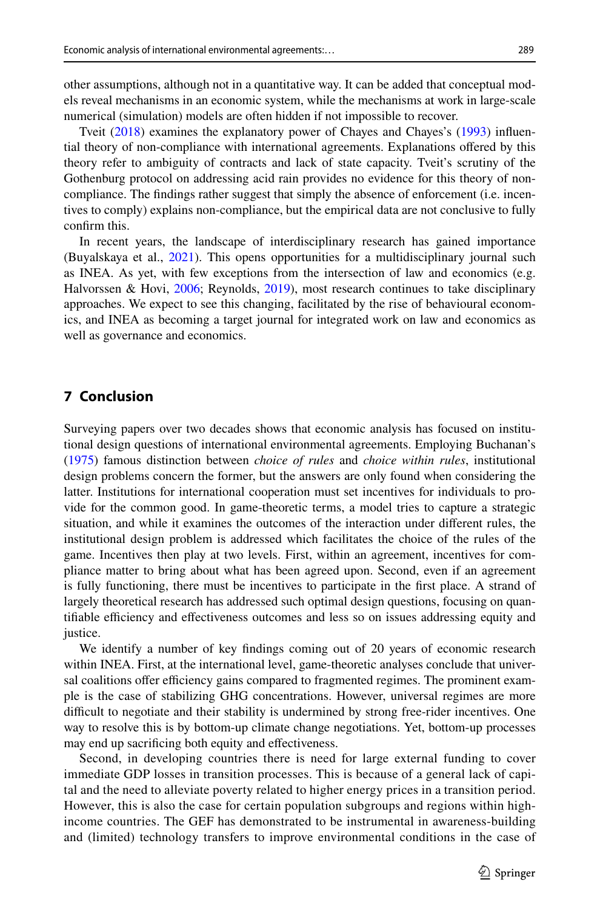other assumptions, although not in a quantitative way. It can be added that conceptual models reveal mechanisms in an economic system, while the mechanisms at work in large-scale numerical (simulation) models are often hidden if not impossible to recover.

Tveit ([2018\)](#page-14-24) examines the explanatory power of Chayes and Chayes's ([1993\)](#page-12-15) infuential theory of non-compliance with international agreements. Explanations ofered by this theory refer to ambiguity of contracts and lack of state capacity. Tveit's scrutiny of the Gothenburg protocol on addressing acid rain provides no evidence for this theory of noncompliance. The fndings rather suggest that simply the absence of enforcement (i.e. incentives to comply) explains non-compliance, but the empirical data are not conclusive to fully confrm this.

In recent years, the landscape of interdisciplinary research has gained importance (Buyalskaya et al., [2021\)](#page-12-16). This opens opportunities for a multidisciplinary journal such as INEA. As yet, with few exceptions from the intersection of law and economics (e.g. Halvorssen & Hovi, [2006;](#page-13-23) Reynolds, [2019\)](#page-14-3), most research continues to take disciplinary approaches. We expect to see this changing, facilitated by the rise of behavioural economics, and INEA as becoming a target journal for integrated work on law and economics as well as governance and economics.

# <span id="page-10-0"></span>**7 Conclusion**

Surveying papers over two decades shows that economic analysis has focused on institutional design questions of international environmental agreements. Employing Buchanan's ([1975\)](#page-12-17) famous distinction between *choice of rules* and *choice within rules*, institutional design problems concern the former, but the answers are only found when considering the latter. Institutions for international cooperation must set incentives for individuals to provide for the common good. In game-theoretic terms, a model tries to capture a strategic situation, and while it examines the outcomes of the interaction under diferent rules, the institutional design problem is addressed which facilitates the choice of the rules of the game. Incentives then play at two levels. First, within an agreement, incentives for compliance matter to bring about what has been agreed upon. Second, even if an agreement is fully functioning, there must be incentives to participate in the frst place. A strand of largely theoretical research has addressed such optimal design questions, focusing on quantifiable efficiency and effectiveness outcomes and less so on issues addressing equity and justice.

We identify a number of key fndings coming out of 20 years of economic research within INEA. First, at the international level, game-theoretic analyses conclude that universal coalitions offer efficiency gains compared to fragmented regimes. The prominent example is the case of stabilizing GHG concentrations. However, universal regimes are more difficult to negotiate and their stability is undermined by strong free-rider incentives. One way to resolve this is by bottom-up climate change negotiations. Yet, bottom-up processes may end up sacrifcing both equity and efectiveness.

Second, in developing countries there is need for large external funding to cover immediate GDP losses in transition processes. This is because of a general lack of capital and the need to alleviate poverty related to higher energy prices in a transition period. However, this is also the case for certain population subgroups and regions within highincome countries. The GEF has demonstrated to be instrumental in awareness-building and (limited) technology transfers to improve environmental conditions in the case of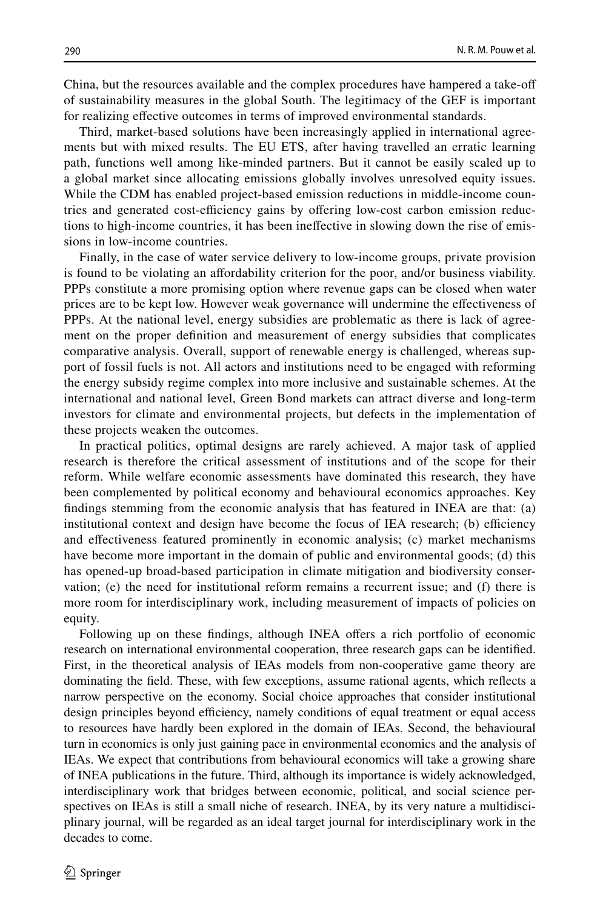China, but the resources available and the complex procedures have hampered a take-of of sustainability measures in the global South. The legitimacy of the GEF is important for realizing efective outcomes in terms of improved environmental standards.

Third, market-based solutions have been increasingly applied in international agreements but with mixed results. The EU ETS, after having travelled an erratic learning path, functions well among like-minded partners. But it cannot be easily scaled up to a global market since allocating emissions globally involves unresolved equity issues. While the CDM has enabled project-based emission reductions in middle-income countries and generated cost-efficiency gains by offering low-cost carbon emission reductions to high-income countries, it has been inefective in slowing down the rise of emissions in low-income countries.

Finally, in the case of water service delivery to low-income groups, private provision is found to be violating an afordability criterion for the poor, and/or business viability. PPPs constitute a more promising option where revenue gaps can be closed when water prices are to be kept low. However weak governance will undermine the efectiveness of PPPs. At the national level, energy subsidies are problematic as there is lack of agreement on the proper defnition and measurement of energy subsidies that complicates comparative analysis. Overall, support of renewable energy is challenged, whereas support of fossil fuels is not. All actors and institutions need to be engaged with reforming the energy subsidy regime complex into more inclusive and sustainable schemes. At the international and national level, Green Bond markets can attract diverse and long-term investors for climate and environmental projects, but defects in the implementation of these projects weaken the outcomes.

In practical politics, optimal designs are rarely achieved. A major task of applied research is therefore the critical assessment of institutions and of the scope for their reform. While welfare economic assessments have dominated this research, they have been complemented by political economy and behavioural economics approaches. Key fndings stemming from the economic analysis that has featured in INEA are that: (a) institutional context and design have become the focus of IEA research; (b) efficiency and efectiveness featured prominently in economic analysis; (c) market mechanisms have become more important in the domain of public and environmental goods; (d) this has opened-up broad-based participation in climate mitigation and biodiversity conservation; (e) the need for institutional reform remains a recurrent issue; and (f) there is more room for interdisciplinary work, including measurement of impacts of policies on equity.

Following up on these findings, although INEA offers a rich portfolio of economic research on international environmental cooperation, three research gaps can be identifed. First, in the theoretical analysis of IEAs models from non-cooperative game theory are dominating the feld. These, with few exceptions, assume rational agents, which refects a narrow perspective on the economy. Social choice approaches that consider institutional design principles beyond efficiency, namely conditions of equal treatment or equal access to resources have hardly been explored in the domain of IEAs. Second, the behavioural turn in economics is only just gaining pace in environmental economics and the analysis of IEAs. We expect that contributions from behavioural economics will take a growing share of INEA publications in the future. Third, although its importance is widely acknowledged, interdisciplinary work that bridges between economic, political, and social science perspectives on IEAs is still a small niche of research. INEA, by its very nature a multidisciplinary journal, will be regarded as an ideal target journal for interdisciplinary work in the decades to come.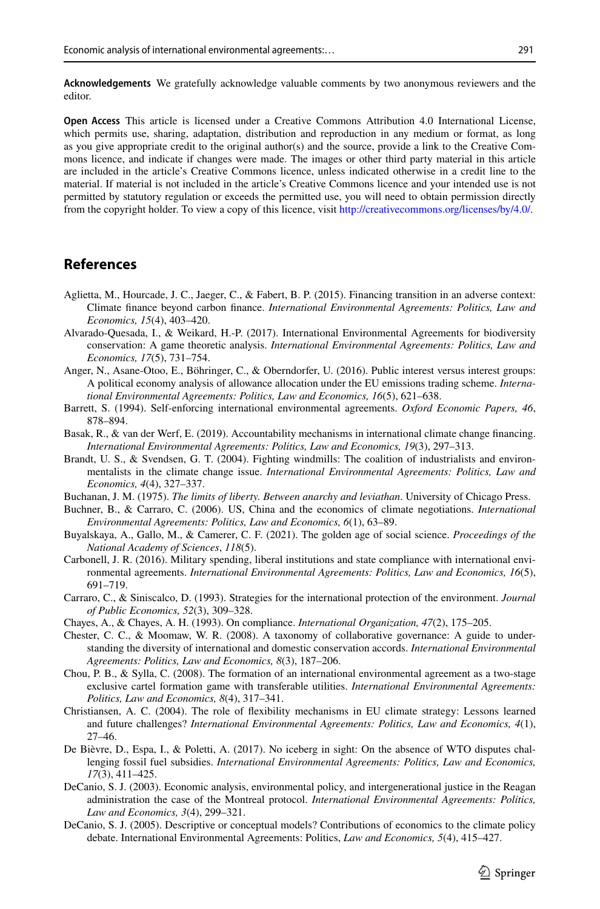**Acknowledgements** We gratefully acknowledge valuable comments by two anonymous reviewers and the editor.

**Open Access** This article is licensed under a Creative Commons Attribution 4.0 International License, which permits use, sharing, adaptation, distribution and reproduction in any medium or format, as long as you give appropriate credit to the original author(s) and the source, provide a link to the Creative Commons licence, and indicate if changes were made. The images or other third party material in this article are included in the article's Creative Commons licence, unless indicated otherwise in a credit line to the material. If material is not included in the article's Creative Commons licence and your intended use is not permitted by statutory regulation or exceeds the permitted use, you will need to obtain permission directly from the copyright holder. To view a copy of this licence, visit [http://creativecommons.org/licenses/by/4.0/.](http://creativecommons.org/licenses/by/4.0/)

#### **References**

- <span id="page-12-5"></span>Aglietta, M., Hourcade, J. C., Jaeger, C., & Fabert, B. P. (2015). Financing transition in an adverse context: Climate fnance beyond carbon fnance. *International Environmental Agreements: Politics, Law and Economics, 15*(4), 403–420.
- <span id="page-12-7"></span>Alvarado-Quesada, I., & Weikard, H.-P. (2017). International Environmental Agreements for biodiversity conservation: A game theoretic analysis. *International Environmental Agreements: Politics, Law and Economics, 17*(5), 731–754.
- <span id="page-12-13"></span>Anger, N., Asane-Otoo, E., Böhringer, C., & Oberndorfer, U. (2016). Public interest versus interest groups: A political economy analysis of allowance allocation under the EU emissions trading scheme. *International Environmental Agreements: Politics, Law and Economics, 16*(5), 621–638.
- <span id="page-12-11"></span>Barrett, S. (1994). Self-enforcing international environmental agreements. *Oxford Economic Papers, 46*, 878–894.
- <span id="page-12-6"></span>Basak, R., & van der Werf, E. (2019). Accountability mechanisms in international climate change fnancing. *International Environmental Agreements: Politics, Law and Economics, 19*(3), 297–313.
- <span id="page-12-12"></span>Brandt, U. S., & Svendsen, G. T. (2004). Fighting windmills: The coalition of industrialists and environmentalists in the climate change issue. *International Environmental Agreements: Politics, Law and Economics, 4*(4), 327–337.
- <span id="page-12-17"></span>Buchanan, J. M. (1975). *The limits of liberty. Between anarchy and leviathan*. University of Chicago Press.
- <span id="page-12-2"></span>Buchner, B., & Carraro, C. (2006). US, China and the economics of climate negotiations. *International Environmental Agreements: Politics, Law and Economics, 6*(1), 63–89.
- <span id="page-12-16"></span>Buyalskaya, A., Gallo, M., & Camerer, C. F. (2021). The golden age of social science. *Proceedings of the National Academy of Sciences*, *118*(5).
- <span id="page-12-3"></span>Carbonell, J. R. (2016). Military spending, liberal institutions and state compliance with international environmental agreements. *International Environmental Agreements: Politics, Law and Economics, 16*(5), 691–719.
- <span id="page-12-10"></span>Carraro, C., & Siniscalco, D. (1993). Strategies for the international protection of the environment. *Journal of Public Economics, 52*(3), 309–328.
- <span id="page-12-15"></span>Chayes, A., & Chayes, A. H. (1993). On compliance. *International Organization, 47*(2), 175–205.
- <span id="page-12-8"></span>Chester, C. C., & Moomaw, W. R. (2008). A taxonomy of collaborative governance: A guide to understanding the diversity of international and domestic conservation accords. *International Environmental Agreements: Politics, Law and Economics, 8*(3), 187–206.
- <span id="page-12-4"></span>Chou, P. B., & Sylla, C. (2008). The formation of an international environmental agreement as a two-stage exclusive cartel formation game with transferable utilities. *International Environmental Agreements: Politics, Law and Economics, 8*(4), 317–341.
- <span id="page-12-1"></span>Christiansen, A. C. (2004). The role of fexibility mechanisms in EU climate strategy: Lessons learned and future challenges? *International Environmental Agreements: Politics, Law and Economics, 4*(1), 27–46.
- <span id="page-12-9"></span>De Bièvre, D., Espa, I., & Poletti, A. (2017). No iceberg in sight: On the absence of WTO disputes challenging fossil fuel subsidies. *International Environmental Agreements: Politics, Law and Economics, 17*(3), 411–425.
- <span id="page-12-0"></span>DeCanio, S. J. (2003). Economic analysis, environmental policy, and intergenerational justice in the Reagan administration the case of the Montreal protocol. *International Environmental Agreements: Politics, Law and Economics, 3*(4), 299–321.
- <span id="page-12-14"></span>DeCanio, S. J. (2005). Descriptive or conceptual models? Contributions of economics to the climate policy debate. International Environmental Agreements: Politics, *Law and Economics, 5*(4), 415–427.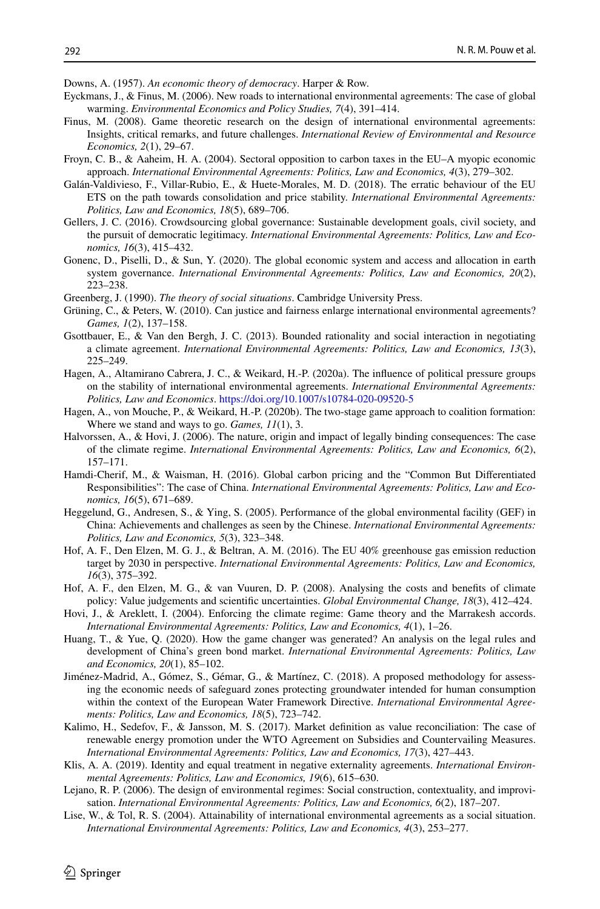<span id="page-13-22"></span>Downs, A. (1957). *An economic theory of democracy*. Harper & Row.

- <span id="page-13-3"></span>Eyckmans, J., & Finus, M. (2006). New roads to international environmental agreements: The case of global warming. *Environmental Economics and Policy Studies, 7*(4), 391–414.
- <span id="page-13-9"></span>Finus, M. (2008). Game theoretic research on the design of international environmental agreements: Insights, critical remarks, and future challenges. *International Review of Environmental and Resource Economics, 2*(1), 29–67.
- <span id="page-13-1"></span>Froyn, C. B., & Aaheim, H. A. (2004). Sectoral opposition to carbon taxes in the EU–A myopic economic approach. *International Environmental Agreements: Politics, Law and Economics, 4*(3), 279–302.
- <span id="page-13-13"></span>Galán-Valdivieso, F., Villar-Rubio, E., & Huete-Morales, M. D. (2018). The erratic behaviour of the EU ETS on the path towards consolidation and price stability. *International Environmental Agreements: Politics, Law and Economics, 18*(5), 689–706.
- <span id="page-13-7"></span>Gellers, J. C. (2016). Crowdsourcing global governance: Sustainable development goals, civil society, and the pursuit of democratic legitimacy. *International Environmental Agreements: Politics, Law and Economics, 16*(3), 415–432.
- <span id="page-13-16"></span>Gonenc, D., Piselli, D., & Sun, Y. (2020). The global economic system and access and allocation in earth system governance. *International Environmental Agreements: Politics, Law and Economics, 20*(2), 223–238.
- <span id="page-13-17"></span>Greenberg, J. (1990). *The theory of social situations*. Cambridge University Press.
- <span id="page-13-20"></span>Grüning, C., & Peters, W. (2010). Can justice and fairness enlarge international environmental agreements? *Games, 1*(2), 137–158.
- <span id="page-13-19"></span>Gsottbauer, E., & Van den Bergh, J. C. (2013). Bounded rationality and social interaction in negotiating a climate agreement. *International Environmental Agreements: Politics, Law and Economics, 13*(3), 225–249.
- <span id="page-13-21"></span>Hagen, A., Altamirano Cabrera, J. C., & Weikard, H.-P. (2020a). The infuence of political pressure groups on the stability of international environmental agreements. *International Environmental Agreements: Politics, Law and Economics*. <https://doi.org/10.1007/s10784-020-09520-5>
- <span id="page-13-10"></span>Hagen, A., von Mouche, P., & Weikard, H.-P. (2020b). The two-stage game approach to coalition formation: Where we stand and ways to go. *Games, 11*(1), 3.
- <span id="page-13-23"></span>Halvorssen, A., & Hovi, J. (2006). The nature, origin and impact of legally binding consequences: The case of the climate regime. *International Environmental Agreements: Politics, Law and Economics, 6*(2), 157–171.
- <span id="page-13-8"></span>Hamdi-Cherif, M., & Waisman, H. (2016). Global carbon pricing and the "Common But Diferentiated Responsibilities": The case of China. *International Environmental Agreements: Politics, Law and Economics, 16*(5), 671–689.
- <span id="page-13-11"></span>Heggelund, G., Andresen, S., & Ying, S. (2005). Performance of the global environmental facility (GEF) in China: Achievements and challenges as seen by the Chinese. *International Environmental Agreements: Politics, Law and Economics, 5*(3), 323–348.
- <span id="page-13-4"></span>Hof, A. F., Den Elzen, M. G. J., & Beltran, A. M. (2016). The EU 40% greenhouse gas emission reduction target by 2030 in perspective. *International Environmental Agreements: Politics, Law and Economics, 16*(3), 375–392.
- <span id="page-13-6"></span>Hof, A. F., den Elzen, M. G., & van Vuuren, D. P. (2008). Analysing the costs and benefts of climate policy: Value judgements and scientifc uncertainties. *Global Environmental Change, 18*(3), 412–424.
- <span id="page-13-0"></span>Hovi, J., & Areklett, I. (2004). Enforcing the climate regime: Game theory and the Marrakesh accords. *International Environmental Agreements: Politics, Law and Economics, 4*(1), 1–26.
- <span id="page-13-14"></span>Huang, T., & Yue, Q. (2020). How the game changer was generated? An analysis on the legal rules and development of China's green bond market. *International Environmental Agreements: Politics, Law and Economics, 20*(1), 85–102.
- <span id="page-13-5"></span>Jiménez-Madrid, A., Gómez, S., Gémar, G., & Martínez, C. (2018). A proposed methodology for assessing the economic needs of safeguard zones protecting groundwater intended for human consumption within the context of the European Water Framework Directive. *International Environmental Agreements: Politics, Law and Economics, 18*(5), 723–742.
- <span id="page-13-15"></span>Kalimo, H., Sedefov, F., & Jansson, M. S. (2017). Market defnition as value reconciliation: The case of renewable energy promotion under the WTO Agreement on Subsidies and Countervailing Measures. *International Environmental Agreements: Politics, Law and Economics, 17*(3), 427–443.
- <span id="page-13-12"></span>Klis, A. A. (2019). Identity and equal treatment in negative externality agreements. *International Environmental Agreements: Politics, Law and Economics, 19*(6), 615–630.
- <span id="page-13-2"></span>Lejano, R. P. (2006). The design of environmental regimes: Social construction, contextuality, and improvisation. *International Environmental Agreements: Politics, Law and Economics, 6*(2), 187–207.
- <span id="page-13-18"></span>Lise, W., & Tol, R. S. (2004). Attainability of international environmental agreements as a social situation. *International Environmental Agreements: Politics, Law and Economics, 4*(3), 253–277.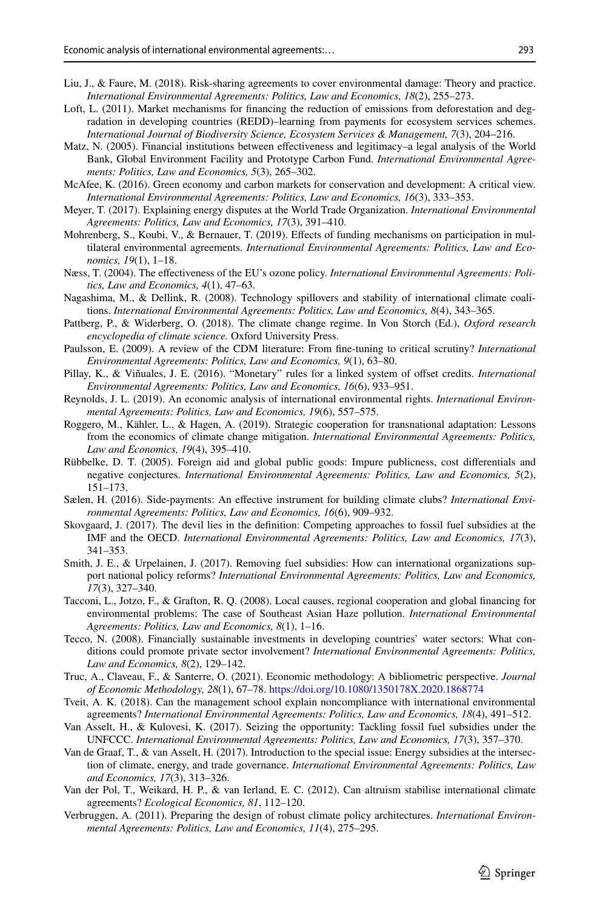- <span id="page-14-2"></span>Liu, J., & Faure, M. (2018). Risk-sharing agreements to cover environmental damage: Theory and practice. *International Environmental Agreements: Politics, Law and Economics, 18*(2), 255–273.
- <span id="page-14-9"></span>Loft, L. (2011). Market mechanisms for financing the reduction of emissions from deforestation and degradation in developing countries (REDD)–learning from payments for ecosystem services schemes. *International Journal of Biodiversity Science, Ecosystem Services & Management, 7*(3), 204–216.
- <span id="page-14-7"></span>Matz, N. (2005). Financial institutions between efectiveness and legitimacy–a legal analysis of the World Bank, Global Environment Facility and Prototype Carbon Fund. *International Environmental Agreements: Politics, Law and Economics, 5*(3), 265–302.
- <span id="page-14-8"></span>McAfee, K. (2016). Green economy and carbon markets for conservation and development: A critical view. *International Environmental Agreements: Politics, Law and Economics, 16*(3), 333–353.
- <span id="page-14-21"></span>Meyer, T. (2017). Explaining energy disputes at the World Trade Organization. *International Environmental Agreements: Politics, Law and Economics, 17*(3), 391–410.
- <span id="page-14-15"></span>Mohrenberg, S., Koubi, V., & Bernauer, T. (2019). Effects of funding mechanisms on participation in multilateral environmental agreements. *International Environmental Agreements: Politics, Law and Economics, 19*(1), 1–18.
- <span id="page-14-17"></span>Næss, T. (2004). The efectiveness of the EU's ozone policy. *International Environmental Agreements: Politics, Law and Economics, 4*(1), 47–63.
- <span id="page-14-12"></span>Nagashima, M., & Dellink, R. (2008). Technology spillovers and stability of international climate coalitions. *International Environmental Agreements: Politics, Law and Economics, 8*(4), 343–365.
- <span id="page-14-13"></span>Pattberg, P., & Widerberg, O. (2018). The climate change regime. In Von Storch (Ed.), *Oxford research encyclopedia of climate science.* Oxford University Press.
- <span id="page-14-5"></span>Paulsson, E. (2009). A review of the CDM literature: From fne-tuning to critical scrutiny? *International Environmental Agreements: Politics, Law and Economics, 9*(1), 63–80.
- <span id="page-14-14"></span>Pillay, K., & Viñuales, J. E. (2016). "Monetary" rules for a linked system of ofset credits. *International Environmental Agreements: Politics, Law and Economics, 16*(6), 933–951.
- <span id="page-14-3"></span>Reynolds, J. L. (2019). An economic analysis of international environmental rights. *International Environmental Agreements: Politics, Law and Economics, 19*(6), 557–575.
- <span id="page-14-16"></span>Roggero, M., Kähler, L., & Hagen, A. (2019). Strategic cooperation for transnational adaptation: Lessons from the economics of climate change mitigation. *International Environmental Agreements: Politics, Law and Economics, 19*(4), 395–410.
- <span id="page-14-4"></span>Rübbelke, D. T. (2005). Foreign aid and global public goods: Impure publicness, cost diferentials and negative conjectures. *International Environmental Agreements: Politics, Law and Economics, 5*(2), 151–173.
- <span id="page-14-0"></span>Sælen, H. (2016). Side-payments: An efective instrument for building climate clubs? *International Environmental Agreements: Politics, Law and Economics, 16*(6), 909–932.
- <span id="page-14-19"></span>Skovgaard, J. (2017). The devil lies in the defnition: Competing approaches to fossil fuel subsidies at the IMF and the OECD. *International Environmental Agreements: Politics, Law and Economics, 17*(3), 341–353.
- <span id="page-14-18"></span>Smith, J. E., & Urpelainen, J. (2017). Removing fuel subsidies: How can international organizations support national policy reforms? *International Environmental Agreements: Politics, Law and Economics, 17*(3), 327–340.
- <span id="page-14-6"></span>Tacconi, L., Jotzo, F., & Grafton, R. Q. (2008). Local causes, regional cooperation and global fnancing for environmental problems: The case of Southeast Asian Haze pollution. *International Environmental Agreements: Politics, Law and Economics, 8*(1), 1–16.
- <span id="page-14-10"></span>Tecco, N. (2008). Financially sustainable investments in developing countries' water sectors: What conditions could promote private sector involvement? *International Environmental Agreements: Politics, Law and Economics, 8*(2), 129–142.
- <span id="page-14-22"></span>Truc, A., Claveau, F., & Santerre, O. (2021). Economic methodology: A bibliometric perspective. *Journal of Economic Methodology, 28*(1), 67–78.<https://doi.org/10.1080/1350178X.2020.1868774>
- <span id="page-14-24"></span>Tveit, A. K. (2018). Can the management school explain noncompliance with international environmental agreements? *International Environmental Agreements: Politics, Law and Economics, 18*(4), 491–512.
- <span id="page-14-20"></span>Van Asselt, H., & Kulovesi, K. (2017). Seizing the opportunity: Tackling fossil fuel subsidies under the UNFCCC. *International Environmental Agreements: Politics, Law and Economics, 17*(3), 357–370.
- <span id="page-14-1"></span>Van de Graaf, T., & van Asselt, H. (2017). Introduction to the special issue: Energy subsidies at the intersection of climate, energy, and trade governance. *International Environmental Agreements: Politics, Law and Economics, 17*(3), 313–326.
- <span id="page-14-23"></span>Van der Pol, T., Weikard, H. P., & van Ierland, E. C. (2012). Can altruism stabilise international climate agreements? *Ecological Economics, 81*, 112–120.
- <span id="page-14-11"></span>Verbruggen, A. (2011). Preparing the design of robust climate policy architectures. *International Environmental Agreements: Politics, Law and Economics, 11*(4), 275–295.